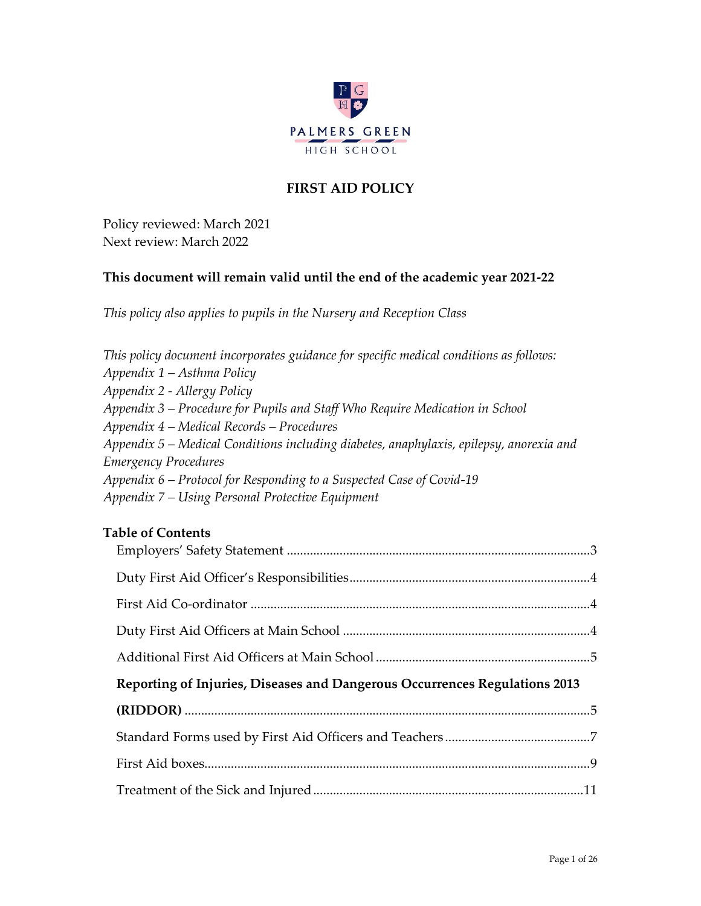

# **FIRST AID POLICY**

Policy reviewed: March 2021 Next review: March 2022

## **This document will remain valid until the end of the academic year 2021-22**

*This policy also applies to pupils in the Nursery and Reception Class*

| This policy document incorporates guidance for specific medical conditions as follows:  |
|-----------------------------------------------------------------------------------------|
| Appendix 1 – Asthma Policy                                                              |
| Appendix 2 - Allergy Policy                                                             |
| Appendix 3 – Procedure for Pupils and Staff Who Require Medication in School            |
| Appendix 4 – Medical Records – Procedures                                               |
| Appendix 5 – Medical Conditions including diabetes, anaphylaxis, epilepsy, anorexia and |
| <b>Emergency Procedures</b>                                                             |
| Appendix 6 – Protocol for Responding to a Suspected Case of Covid-19                    |
| Appendix 7 – Using Personal Protective Equipment                                        |
|                                                                                         |

## **Table of Contents**

| Reporting of Injuries, Diseases and Dangerous Occurrences Regulations 2013 |  |
|----------------------------------------------------------------------------|--|
|                                                                            |  |
|                                                                            |  |
|                                                                            |  |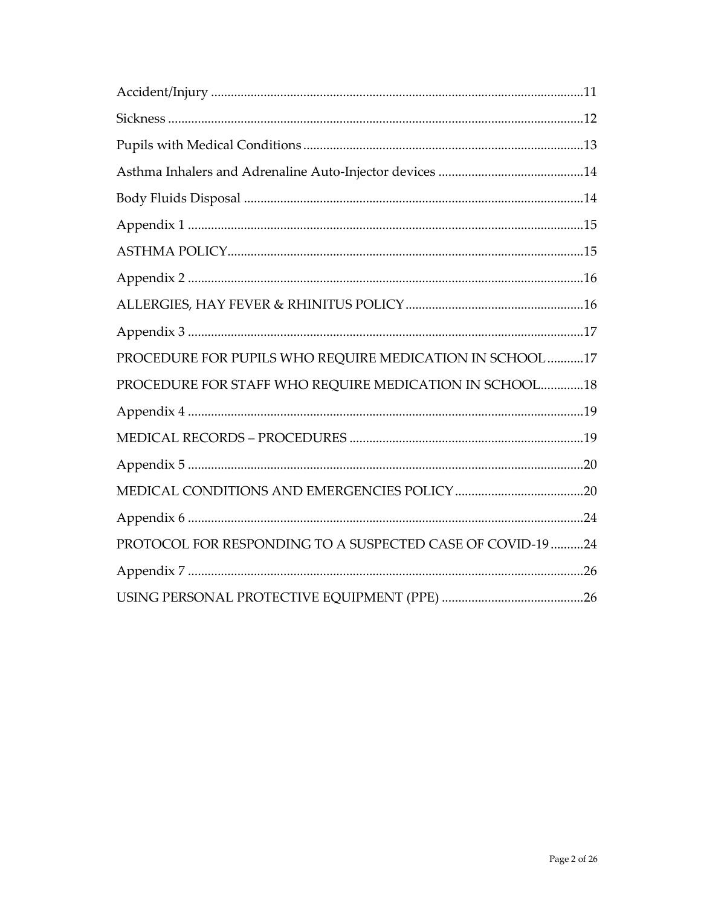| PROCEDURE FOR PUPILS WHO REQUIRE MEDICATION IN SCHOOL 17   |
|------------------------------------------------------------|
| PROCEDURE FOR STAFF WHO REQUIRE MEDICATION IN SCHOOL 18    |
|                                                            |
|                                                            |
|                                                            |
|                                                            |
|                                                            |
| PROTOCOL FOR RESPONDING TO A SUSPECTED CASE OF COVID-19 24 |
|                                                            |
|                                                            |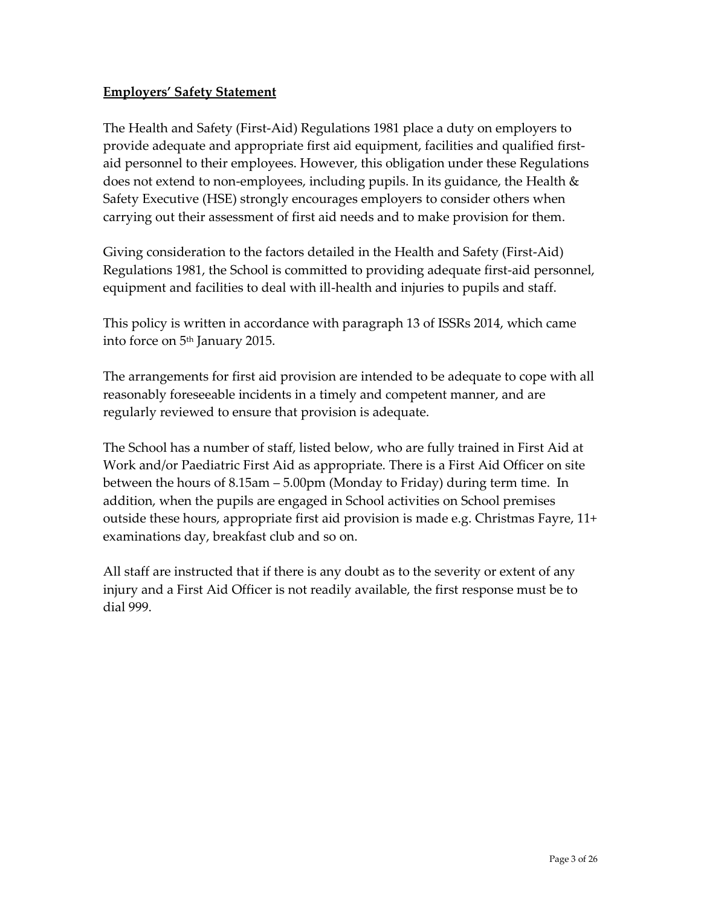## <span id="page-2-0"></span>**Employers' Safety Statement**

The Health and Safety (First-Aid) Regulations 1981 place a duty on employers to provide adequate and appropriate first aid equipment, facilities and qualified firstaid personnel to their employees. However, this obligation under these Regulations does not extend to non-employees, including pupils. In its guidance, the Health & Safety Executive (HSE) strongly encourages employers to consider others when carrying out their assessment of first aid needs and to make provision for them.

Giving consideration to the factors detailed in the Health and Safety (First-Aid) Regulations 1981, the School is committed to providing adequate first-aid personnel, equipment and facilities to deal with ill-health and injuries to pupils and staff.

This policy is written in accordance with paragraph 13 of ISSRs 2014, which came into force on 5th January 2015.

The arrangements for first aid provision are intended to be adequate to cope with all reasonably foreseeable incidents in a timely and competent manner, and are regularly reviewed to ensure that provision is adequate.

The School has a number of staff, listed below, who are fully trained in First Aid at Work and/or Paediatric First Aid as appropriate. There is a First Aid Officer on site between the hours of 8.15am – 5.00pm (Monday to Friday) during term time. In addition, when the pupils are engaged in School activities on School premises outside these hours, appropriate first aid provision is made e.g. Christmas Fayre, 11+ examinations day, breakfast club and so on.

All staff are instructed that if there is any doubt as to the severity or extent of any injury and a First Aid Officer is not readily available, the first response must be to dial 999.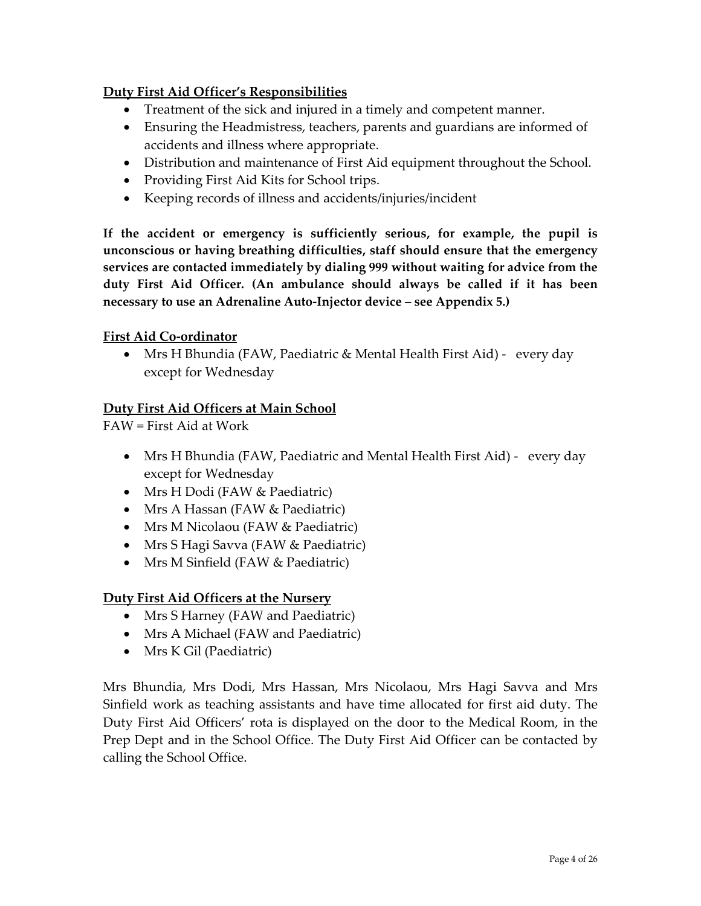## <span id="page-3-0"></span>**Duty First Aid Officer's Responsibilities**

- Treatment of the sick and injured in a timely and competent manner.
- Ensuring the Headmistress, teachers, parents and guardians are informed of accidents and illness where appropriate.
- Distribution and maintenance of First Aid equipment throughout the School.
- Providing First Aid Kits for School trips.
- Keeping records of illness and accidents/injuries/incident

**If the accident or emergency is sufficiently serious, for example, the pupil is unconscious or having breathing difficulties, staff should ensure that the emergency services are contacted immediately by dialing 999 without waiting for advice from the duty First Aid Officer. (An ambulance should always be called if it has been necessary to use an Adrenaline Auto-Injector device – see Appendix 5.)**

### <span id="page-3-1"></span>**First Aid Co-ordinator**

• Mrs H Bhundia (FAW, Paediatric & Mental Health First Aid) - every day except for Wednesday

### <span id="page-3-2"></span>**Duty First Aid Officers at Main School**

FAW = First Aid at Work

- Mrs H Bhundia (FAW, Paediatric and Mental Health First Aid) every day except for Wednesday
- Mrs H Dodi (FAW & Paediatric)
- Mrs A Hassan (FAW & Paediatric)
- Mrs M Nicolaou (FAW & Paediatric)
- Mrs S Hagi Savva (FAW & Paediatric)
- Mrs M Sinfield (FAW & Paediatric)

### **Duty First Aid Officers at the Nursery**

- Mrs S Harney (FAW and Paediatric)
- Mrs A Michael (FAW and Paediatric)
- Mrs K Gil (Paediatric)

Mrs Bhundia, Mrs Dodi, Mrs Hassan, Mrs Nicolaou, Mrs Hagi Savva and Mrs Sinfield work as teaching assistants and have time allocated for first aid duty. The Duty First Aid Officers' rota is displayed on the door to the Medical Room, in the Prep Dept and in the School Office. The Duty First Aid Officer can be contacted by calling the School Office.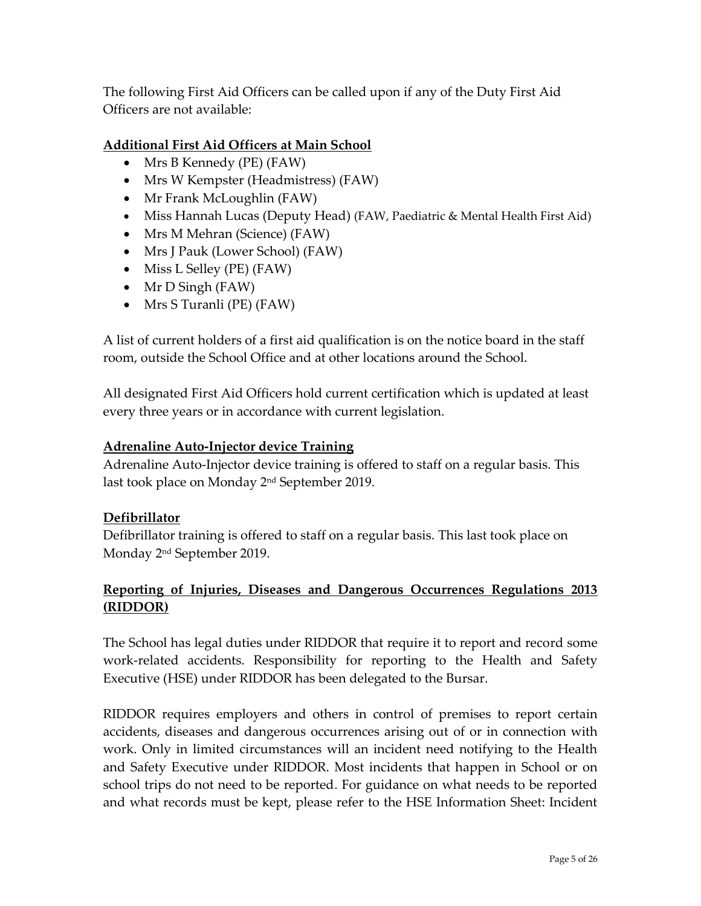The following First Aid Officers can be called upon if any of the Duty First Aid Officers are not available:

## <span id="page-4-0"></span>**Additional First Aid Officers at Main School**

- Mrs B Kennedy (PE) (FAW)
- Mrs W Kempster (Headmistress) (FAW)
- Mr Frank McLoughlin (FAW)
- Miss Hannah Lucas (Deputy Head) (FAW, Paediatric & Mental Health First Aid)
- Mrs M Mehran (Science) (FAW)
- Mrs J Pauk (Lower School) (FAW)
- Miss L Selley (PE) (FAW)
- Mr D Singh (FAW)
- Mrs S Turanli (PE) (FAW)

A list of current holders of a first aid qualification is on the notice board in the staff room, outside the School Office and at other locations around the School.

All designated First Aid Officers hold current certification which is updated at least every three years or in accordance with current legislation.

### **Adrenaline Auto-Injector device Training**

Adrenaline Auto-Injector device training is offered to staff on a regular basis. This last took place on Monday 2nd September 2019.

#### **Defibrillator**

Defibrillator training is offered to staff on a regular basis. This last took place on Monday 2 nd September 2019.

## <span id="page-4-1"></span>**Reporting of Injuries, Diseases and Dangerous Occurrences Regulations 2013 (RIDDOR)**

The School has legal duties under RIDDOR that require it to report and record some work-related accidents. Responsibility for reporting to the Health and Safety Executive (HSE) under RIDDOR has been delegated to the Bursar.

RIDDOR requires employers and others in control of premises to report certain accidents, diseases and dangerous occurrences arising out of or in connection with work. Only in limited circumstances will an incident need notifying to the Health and Safety Executive under RIDDOR. Most incidents that happen in School or on school trips do not need to be reported. For guidance on what needs to be reported and what records must be kept, please refer to the HSE Information Sheet: Incident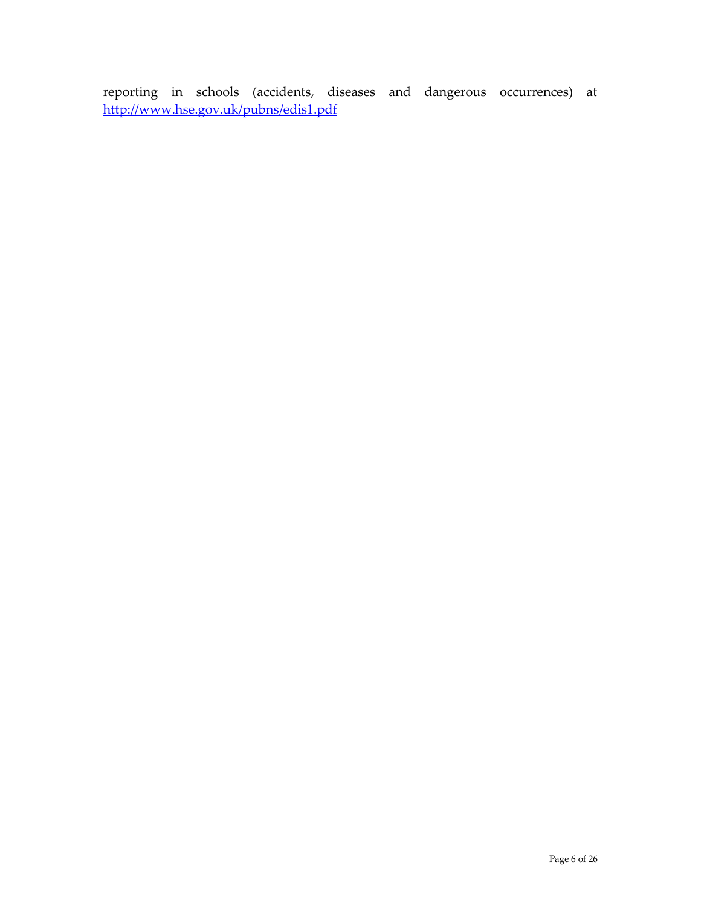reporting in schools (accidents, diseases and dangerous occurrences) at <http://www.hse.gov.uk/pubns/edis1.pdf>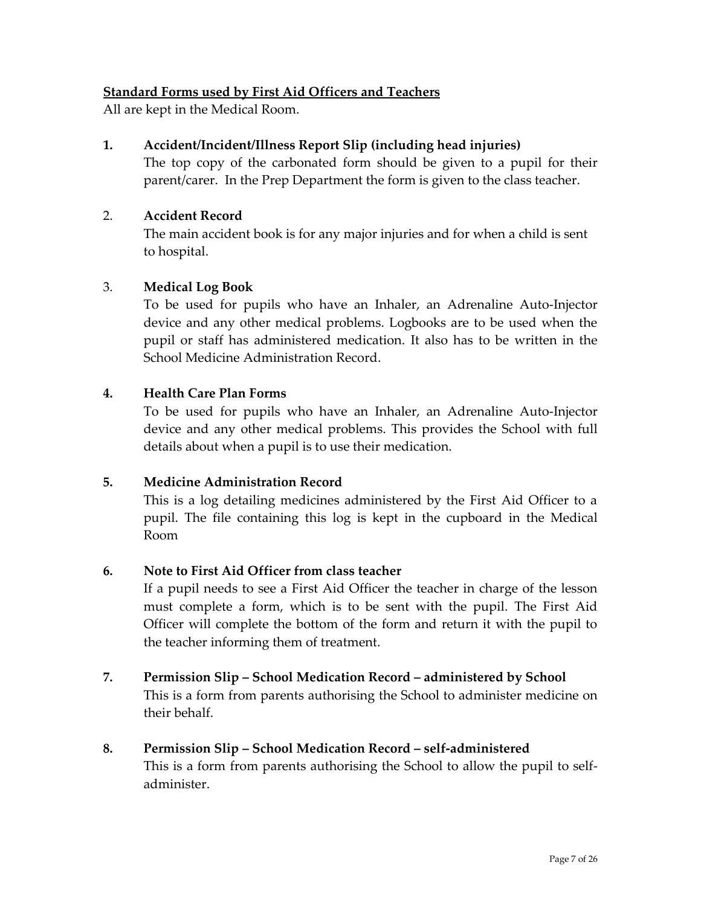## <span id="page-6-0"></span>**Standard Forms used by First Aid Officers and Teachers**

All are kept in the Medical Room.

## **1. Accident/Incident/Illness Report Slip (including head injuries)**

The top copy of the carbonated form should be given to a pupil for their parent/carer. In the Prep Department the form is given to the class teacher.

### 2. **Accident Record**

The main accident book is for any major injuries and for when a child is sent to hospital.

### 3. **Medical Log Book**

To be used for pupils who have an Inhaler, an Adrenaline Auto-Injector device and any other medical problems. Logbooks are to be used when the pupil or staff has administered medication. It also has to be written in the School Medicine Administration Record.

### **4. Health Care Plan Forms**

To be used for pupils who have an Inhaler, an Adrenaline Auto-Injector device and any other medical problems. This provides the School with full details about when a pupil is to use their medication.

### **5. Medicine Administration Record**

This is a log detailing medicines administered by the First Aid Officer to a pupil. The file containing this log is kept in the cupboard in the Medical Room

### **6. Note to First Aid Officer from class teacher**

If a pupil needs to see a First Aid Officer the teacher in charge of the lesson must complete a form, which is to be sent with the pupil. The First Aid Officer will complete the bottom of the form and return it with the pupil to the teacher informing them of treatment.

#### **7. Permission Slip – School Medication Record – administered by School**

This is a form from parents authorising the School to administer medicine on their behalf.

### **8. Permission Slip – School Medication Record – self-administered**

This is a form from parents authorising the School to allow the pupil to selfadminister.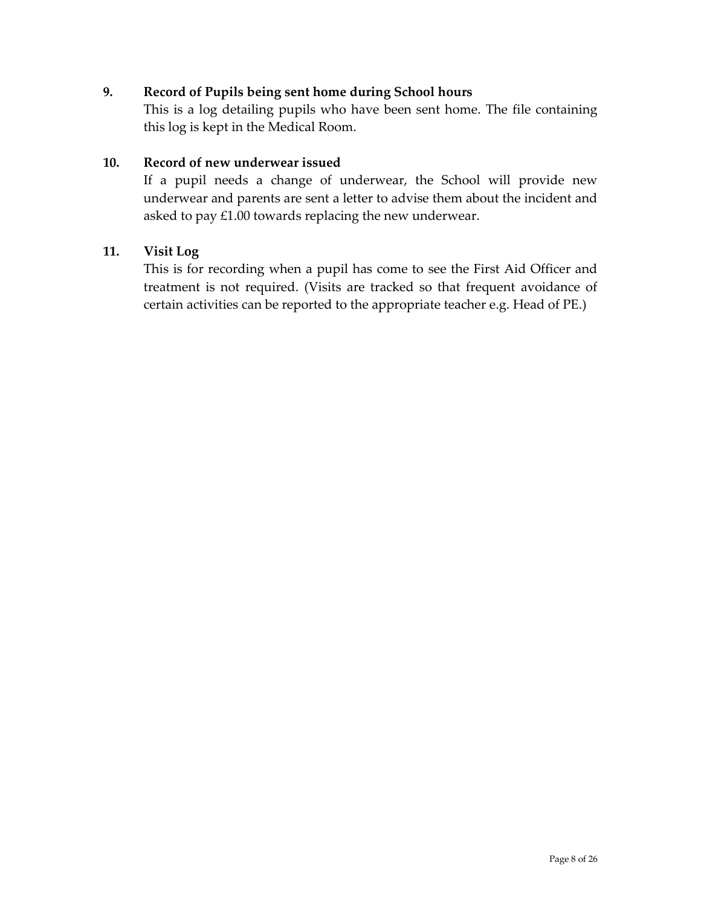### **9. Record of Pupils being sent home during School hours**

This is a log detailing pupils who have been sent home. The file containing this log is kept in the Medical Room.

### **10. Record of new underwear issued**

If a pupil needs a change of underwear, the School will provide new underwear and parents are sent a letter to advise them about the incident and asked to pay £1.00 towards replacing the new underwear.

### **11. Visit Log**

This is for recording when a pupil has come to see the First Aid Officer and treatment is not required. (Visits are tracked so that frequent avoidance of certain activities can be reported to the appropriate teacher e.g. Head of PE.)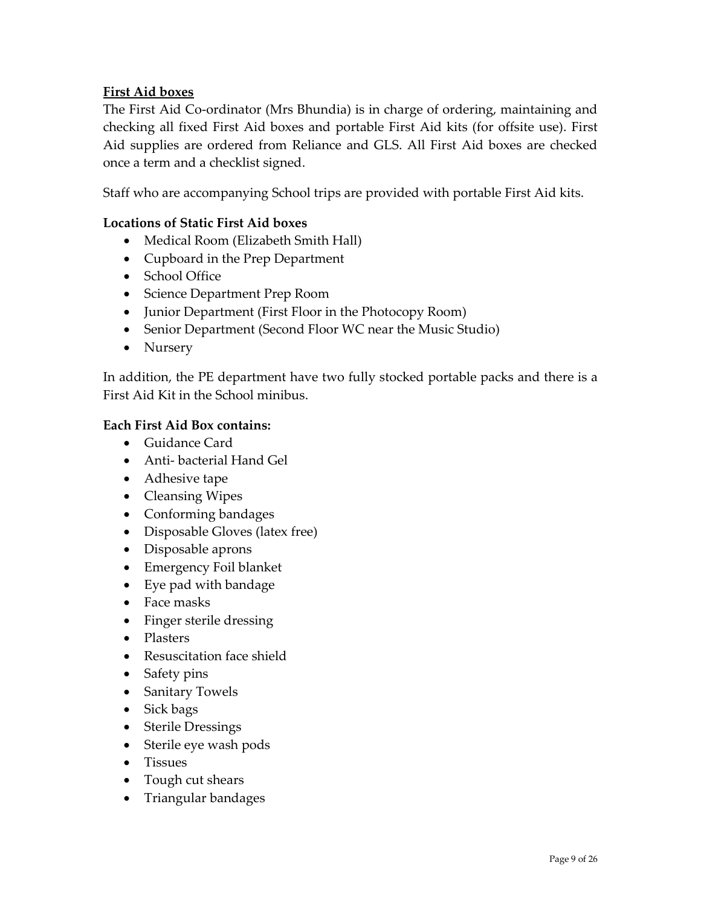## <span id="page-8-0"></span>**First Aid boxes**

The First Aid Co-ordinator (Mrs Bhundia) is in charge of ordering, maintaining and checking all fixed First Aid boxes and portable First Aid kits (for offsite use). First Aid supplies are ordered from Reliance and GLS. All First Aid boxes are checked once a term and a checklist signed.

Staff who are accompanying School trips are provided with portable First Aid kits.

### **Locations of Static First Aid boxes**

- Medical Room (Elizabeth Smith Hall)
- Cupboard in the Prep Department
- School Office
- Science Department Prep Room
- Junior Department (First Floor in the Photocopy Room)
- Senior Department (Second Floor WC near the Music Studio)
- Nursery

In addition, the PE department have two fully stocked portable packs and there is a First Aid Kit in the School minibus.

### **Each First Aid Box contains:**

- Guidance Card
- Anti- bacterial Hand Gel
- Adhesive tape
- Cleansing Wipes
- Conforming bandages
- Disposable Gloves (latex free)
- Disposable aprons
- Emergency Foil blanket
- Eye pad with bandage
- Face masks
- Finger sterile dressing
- Plasters
- Resuscitation face shield
- Safety pins
- Sanitary Towels
- Sick bags
- Sterile Dressings
- Sterile eye wash pods
- Tissues
- Tough cut shears
- Triangular bandages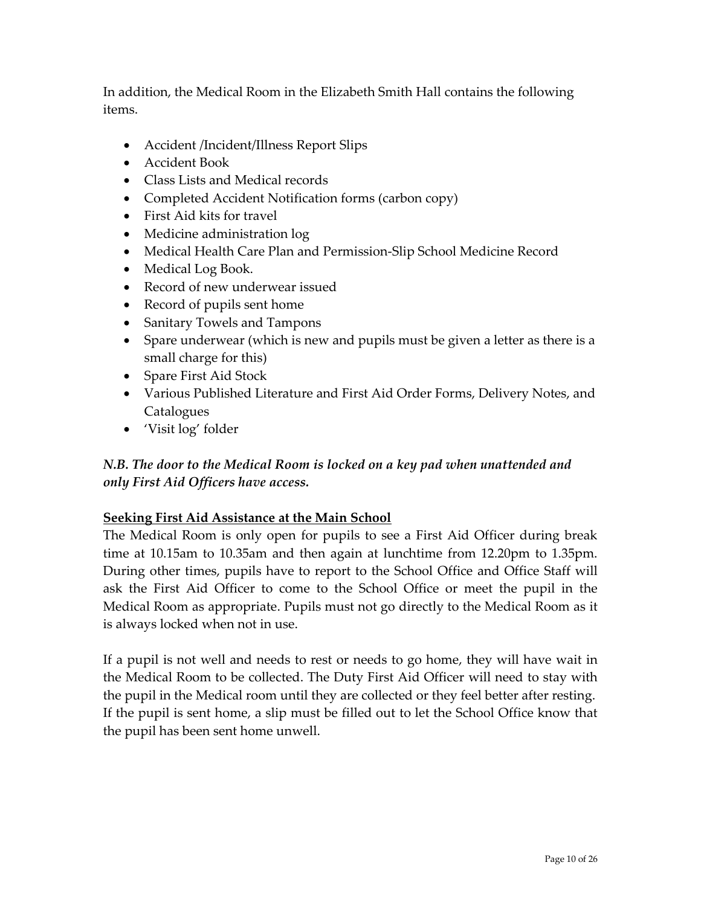In addition, the Medical Room in the Elizabeth Smith Hall contains the following items.

- Accident /Incident/Illness Report Slips
- Accident Book
- Class Lists and Medical records
- Completed Accident Notification forms (carbon copy)
- First Aid kits for travel
- Medicine administration log
- Medical Health Care Plan and Permission-Slip School Medicine Record
- Medical Log Book.
- Record of new underwear issued
- Record of pupils sent home
- Sanitary Towels and Tampons
- Spare underwear (which is new and pupils must be given a letter as there is a small charge for this)
- Spare First Aid Stock
- Various Published Literature and First Aid Order Forms, Delivery Notes, and **Catalogues**
- 'Visit log' folder

# *N.B. The door to the Medical Room is locked on a key pad when unattended and only First Aid Officers have access.*

## **Seeking First Aid Assistance at the Main School**

The Medical Room is only open for pupils to see a First Aid Officer during break time at 10.15am to 10.35am and then again at lunchtime from 12.20pm to 1.35pm. During other times, pupils have to report to the School Office and Office Staff will ask the First Aid Officer to come to the School Office or meet the pupil in the Medical Room as appropriate. Pupils must not go directly to the Medical Room as it is always locked when not in use.

If a pupil is not well and needs to rest or needs to go home, they will have wait in the Medical Room to be collected. The Duty First Aid Officer will need to stay with the pupil in the Medical room until they are collected or they feel better after resting. If the pupil is sent home, a slip must be filled out to let the School Office know that the pupil has been sent home unwell.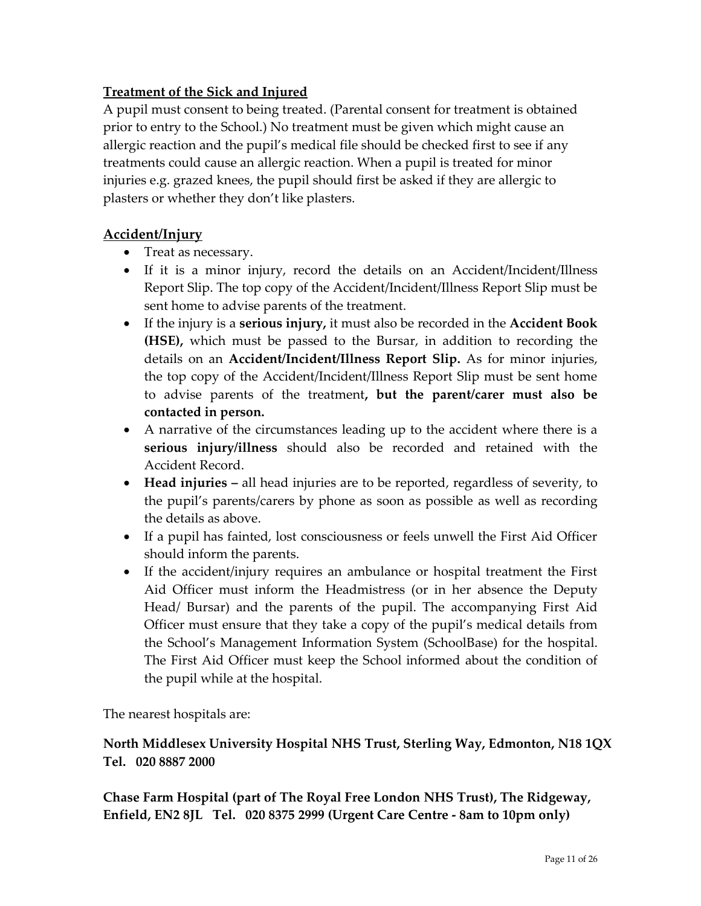# <span id="page-10-0"></span>**Treatment of the Sick and Injured**

A pupil must consent to being treated. (Parental consent for treatment is obtained prior to entry to the School.) No treatment must be given which might cause an allergic reaction and the pupil's medical file should be checked first to see if any treatments could cause an allergic reaction. When a pupil is treated for minor injuries e.g. grazed knees, the pupil should first be asked if they are allergic to plasters or whether they don't like plasters.

## <span id="page-10-1"></span>**Accident/Injury**

- Treat as necessary.
- If it is a minor injury, record the details on an Accident/Incident/Illness Report Slip. The top copy of the Accident/Incident/Illness Report Slip must be sent home to advise parents of the treatment.
- If the injury is a **serious injury,** it must also be recorded in the **Accident Book (HSE),** which must be passed to the Bursar, in addition to recording the details on an **Accident/Incident/Illness Report Slip.** As for minor injuries, the top copy of the Accident/Incident/Illness Report Slip must be sent home to advise parents of the treatment**, but the parent/carer must also be contacted in person.**
- A narrative of the circumstances leading up to the accident where there is a **serious injury/illness** should also be recorded and retained with the Accident Record.
- **Head injuries –** all head injuries are to be reported, regardless of severity, to the pupil's parents/carers by phone as soon as possible as well as recording the details as above.
- If a pupil has fainted, lost consciousness or feels unwell the First Aid Officer should inform the parents.
- If the accident/injury requires an ambulance or hospital treatment the First Aid Officer must inform the Headmistress (or in her absence the Deputy Head/ Bursar) and the parents of the pupil. The accompanying First Aid Officer must ensure that they take a copy of the pupil's medical details from the School's Management Information System (SchoolBase) for the hospital. The First Aid Officer must keep the School informed about the condition of the pupil while at the hospital.

The nearest hospitals are:

## **North Middlesex University Hospital NHS Trust, Sterling Way, Edmonton, N18 1QX Tel. 020 8887 2000**

**Chase Farm Hospital (part of The Royal Free London NHS Trust), The Ridgeway, Enfield, EN2 8JL Tel. 020 8375 2999 (Urgent Care Centre - 8am to 10pm only)**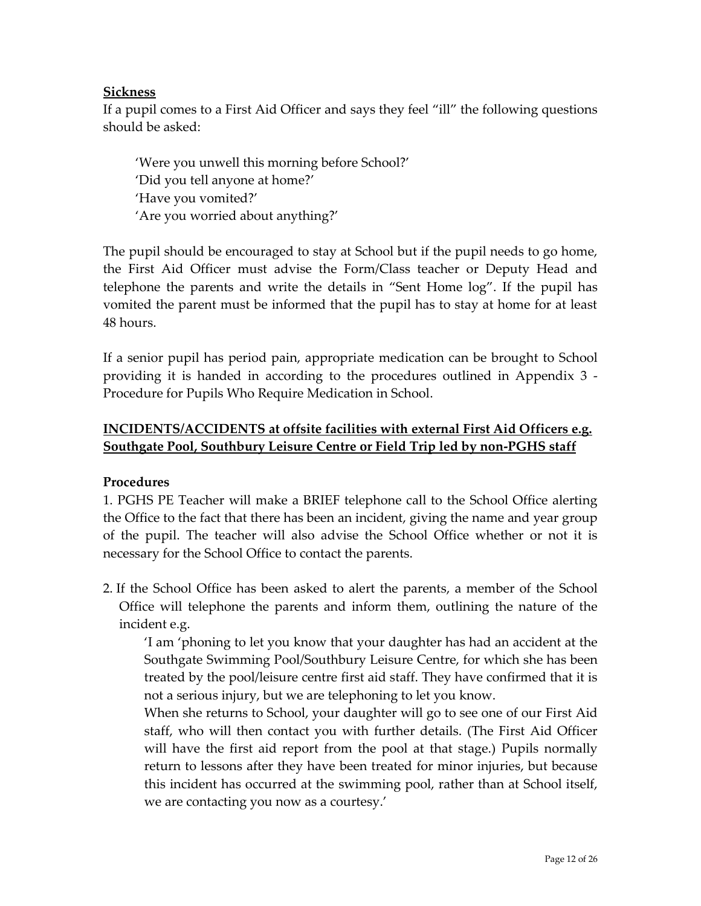## <span id="page-11-0"></span>**Sickness**

If a pupil comes to a First Aid Officer and says they feel "ill" the following questions should be asked:

'Were you unwell this morning before School?' 'Did you tell anyone at home?' 'Have you vomited?' 'Are you worried about anything?'

The pupil should be encouraged to stay at School but if the pupil needs to go home, the First Aid Officer must advise the Form/Class teacher or Deputy Head and telephone the parents and write the details in "Sent Home log". If the pupil has vomited the parent must be informed that the pupil has to stay at home for at least 48 hours.

If a senior pupil has period pain, appropriate medication can be brought to School providing it is handed in according to the procedures outlined in Appendix 3 - Procedure for Pupils Who Require Medication in School.

## **INCIDENTS/ACCIDENTS at offsite facilities with external First Aid Officers e.g. Southgate Pool, Southbury Leisure Centre or Field Trip led by non-PGHS staff**

### **Procedures**

1. PGHS PE Teacher will make a BRIEF telephone call to the School Office alerting the Office to the fact that there has been an incident, giving the name and year group of the pupil. The teacher will also advise the School Office whether or not it is necessary for the School Office to contact the parents.

2. If the School Office has been asked to alert the parents, a member of the School Office will telephone the parents and inform them, outlining the nature of the incident e.g.

'I am 'phoning to let you know that your daughter has had an accident at the Southgate Swimming Pool/Southbury Leisure Centre, for which she has been treated by the pool/leisure centre first aid staff. They have confirmed that it is not a serious injury, but we are telephoning to let you know.

When she returns to School, your daughter will go to see one of our First Aid staff, who will then contact you with further details. (The First Aid Officer will have the first aid report from the pool at that stage.) Pupils normally return to lessons after they have been treated for minor injuries, but because this incident has occurred at the swimming pool, rather than at School itself, we are contacting you now as a courtesy.'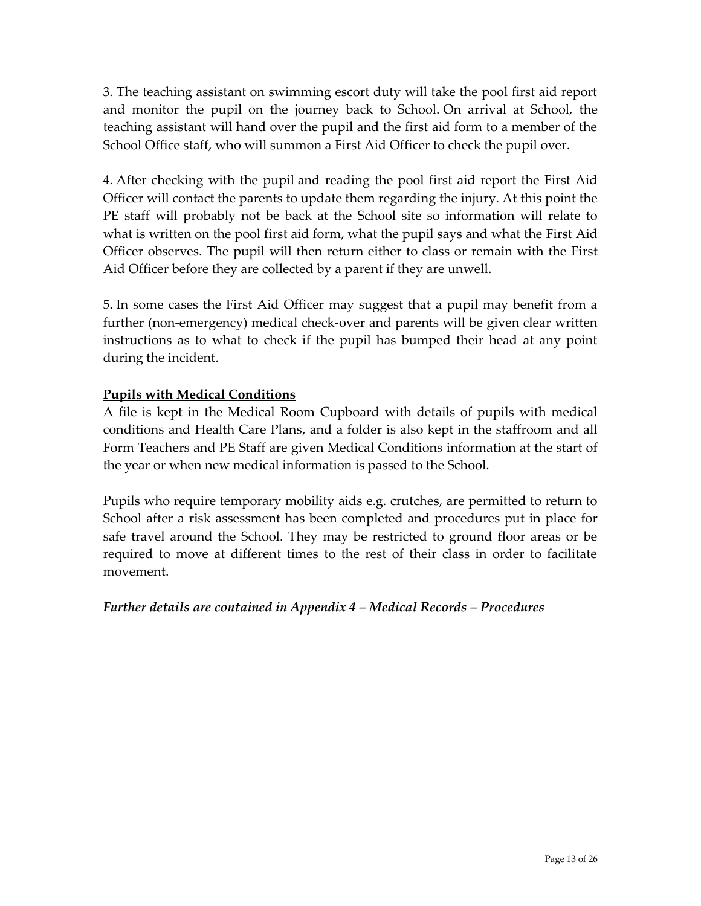3. The teaching assistant on swimming escort duty will take the pool first aid report and monitor the pupil on the journey back to School. On arrival at School, the teaching assistant will hand over the pupil and the first aid form to a member of the School Office staff, who will summon a First Aid Officer to check the pupil over.

4. After checking with the pupil and reading the pool first aid report the First Aid Officer will contact the parents to update them regarding the injury. At this point the PE staff will probably not be back at the School site so information will relate to what is written on the pool first aid form, what the pupil says and what the First Aid Officer observes. The pupil will then return either to class or remain with the First Aid Officer before they are collected by a parent if they are unwell.

5. In some cases the First Aid Officer may suggest that a pupil may benefit from a further (non-emergency) medical check-over and parents will be given clear written instructions as to what to check if the pupil has bumped their head at any point during the incident.

## <span id="page-12-0"></span>**Pupils with Medical Conditions**

A file is kept in the Medical Room Cupboard with details of pupils with medical conditions and Health Care Plans, and a folder is also kept in the staffroom and all Form Teachers and PE Staff are given Medical Conditions information at the start of the year or when new medical information is passed to the School.

Pupils who require temporary mobility aids e.g. crutches, are permitted to return to School after a risk assessment has been completed and procedures put in place for safe travel around the School. They may be restricted to ground floor areas or be required to move at different times to the rest of their class in order to facilitate movement.

*Further details are contained in Appendix 4 – Medical Records – Procedures*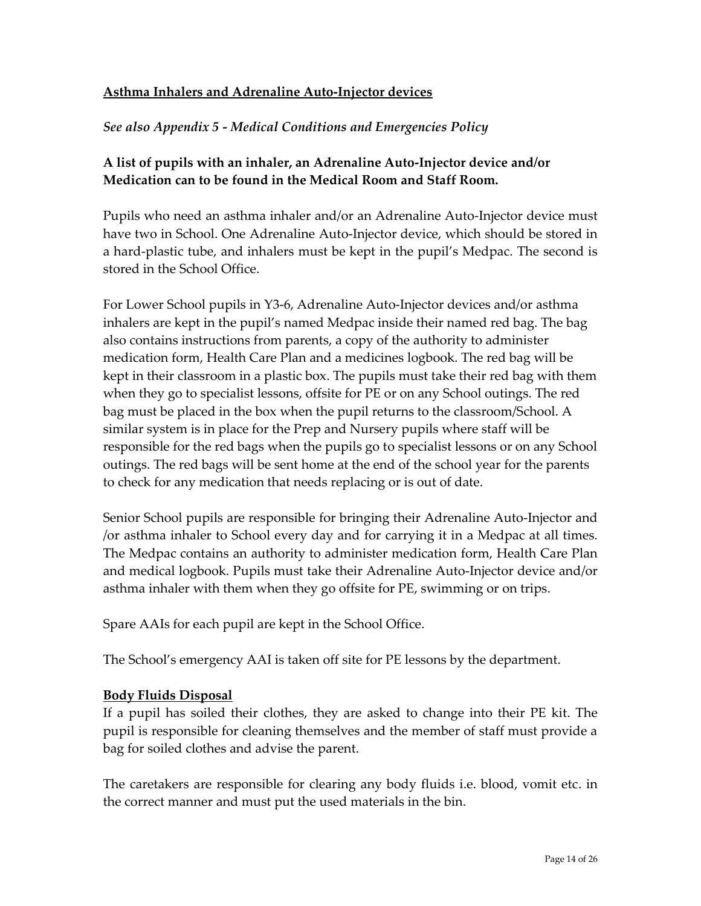# <span id="page-13-0"></span>**Asthma Inhalers and Adrenaline Auto-Injector devices**

## *See also Appendix 5 - Medical Conditions and Emergencies Policy*

## **A list of pupils with an inhaler, an Adrenaline Auto-Injector device and/or Medication can to be found in the Medical Room and Staff Room.**

Pupils who need an asthma inhaler and/or an Adrenaline Auto-Injector device must have two in School. One Adrenaline Auto-Injector device, which should be stored in a hard-plastic tube, and inhalers must be kept in the pupil's Medpac. The second is stored in the School Office.

For Lower School pupils in Y3-6, Adrenaline Auto-Injector devices and/or asthma inhalers are kept in the pupil's named Medpac inside their named red bag. The bag also contains instructions from parents, a copy of the authority to administer medication form, Health Care Plan and a medicines logbook. The red bag will be kept in their classroom in a plastic box. The pupils must take their red bag with them when they go to specialist lessons, offsite for PE or on any School outings. The red bag must be placed in the box when the pupil returns to the classroom/School. A similar system is in place for the Prep and Nursery pupils where staff will be responsible for the red bags when the pupils go to specialist lessons or on any School outings. The red bags will be sent home at the end of the school year for the parents to check for any medication that needs replacing or is out of date.

Senior School pupils are responsible for bringing their Adrenaline Auto-Injector and /or asthma inhaler to School every day and for carrying it in a Medpac at all times. The Medpac contains an authority to administer medication form, Health Care Plan and medical logbook. Pupils must take their Adrenaline Auto-Injector device and/or asthma inhaler with them when they go offsite for PE, swimming or on trips.

Spare AAIs for each pupil are kept in the School Office.

The School's emergency AAI is taken off site for PE lessons by the department.

### <span id="page-13-1"></span>**Body Fluids Disposal**

If a pupil has soiled their clothes, they are asked to change into their PE kit. The pupil is responsible for cleaning themselves and the member of staff must provide a bag for soiled clothes and advise the parent.

The caretakers are responsible for clearing any body fluids i.e. blood, vomit etc. in the correct manner and must put the used materials in the bin.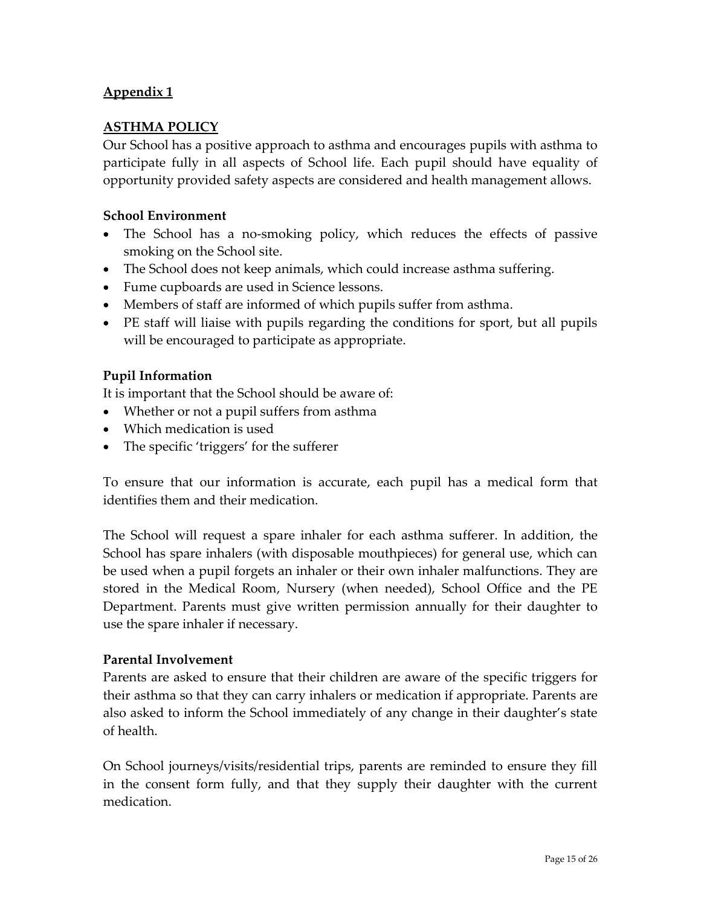### <span id="page-14-1"></span><span id="page-14-0"></span>**ASTHMA POLICY**

Our School has a positive approach to asthma and encourages pupils with asthma to participate fully in all aspects of School life. Each pupil should have equality of opportunity provided safety aspects are considered and health management allows.

#### **School Environment**

- The School has a no-smoking policy, which reduces the effects of passive smoking on the School site.
- The School does not keep animals, which could increase asthma suffering.
- Fume cupboards are used in Science lessons.
- Members of staff are informed of which pupils suffer from asthma.
- PE staff will liaise with pupils regarding the conditions for sport, but all pupils will be encouraged to participate as appropriate.

#### **Pupil Information**

It is important that the School should be aware of:

- Whether or not a pupil suffers from asthma
- Which medication is used
- The specific 'triggers' for the sufferer

To ensure that our information is accurate, each pupil has a medical form that identifies them and their medication.

The School will request a spare inhaler for each asthma sufferer. In addition, the School has spare inhalers (with disposable mouthpieces) for general use, which can be used when a pupil forgets an inhaler or their own inhaler malfunctions. They are stored in the Medical Room, Nursery (when needed), School Office and the PE Department. Parents must give written permission annually for their daughter to use the spare inhaler if necessary.

#### **Parental Involvement**

Parents are asked to ensure that their children are aware of the specific triggers for their asthma so that they can carry inhalers or medication if appropriate. Parents are also asked to inform the School immediately of any change in their daughter's state of health.

On School journeys/visits/residential trips, parents are reminded to ensure they fill in the consent form fully, and that they supply their daughter with the current medication.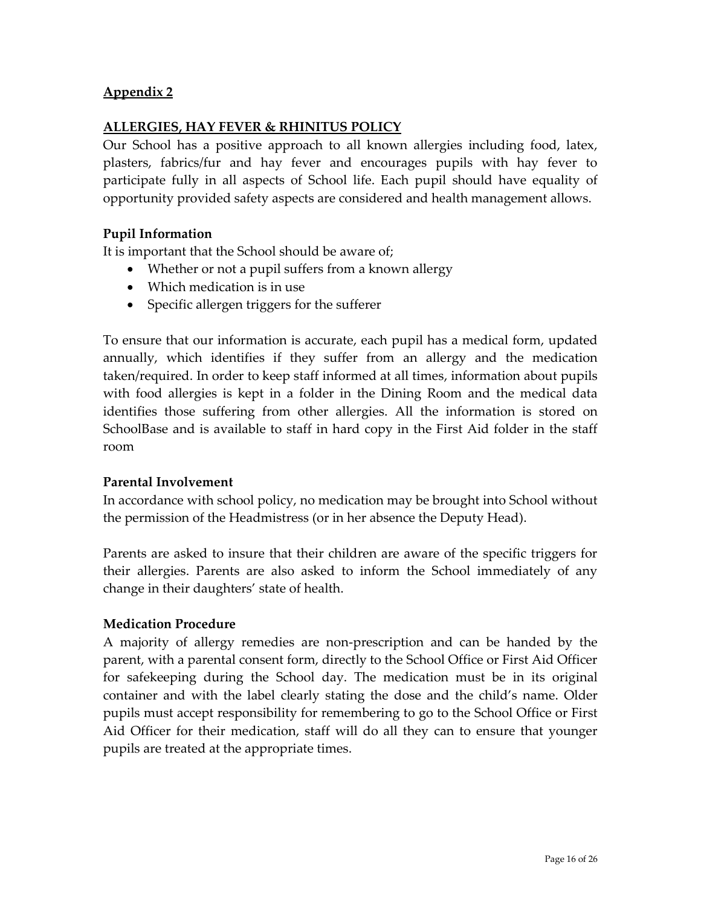### <span id="page-15-1"></span><span id="page-15-0"></span>**ALLERGIES, HAY FEVER & RHINITUS POLICY**

Our School has a positive approach to all known allergies including food, latex, plasters, fabrics/fur and hay fever and encourages pupils with hay fever to participate fully in all aspects of School life. Each pupil should have equality of opportunity provided safety aspects are considered and health management allows.

### **Pupil Information**

It is important that the School should be aware of;

- Whether or not a pupil suffers from a known allergy
- Which medication is in use
- Specific allergen triggers for the sufferer

To ensure that our information is accurate, each pupil has a medical form, updated annually, which identifies if they suffer from an allergy and the medication taken/required. In order to keep staff informed at all times, information about pupils with food allergies is kept in a folder in the Dining Room and the medical data identifies those suffering from other allergies. All the information is stored on SchoolBase and is available to staff in hard copy in the First Aid folder in the staff room

#### **Parental Involvement**

In accordance with school policy, no medication may be brought into School without the permission of the Headmistress (or in her absence the Deputy Head).

Parents are asked to insure that their children are aware of the specific triggers for their allergies. Parents are also asked to inform the School immediately of any change in their daughters' state of health.

#### **Medication Procedure**

A majority of allergy remedies are non-prescription and can be handed by the parent, with a parental consent form, directly to the School Office or First Aid Officer for safekeeping during the School day. The medication must be in its original container and with the label clearly stating the dose and the child's name. Older pupils must accept responsibility for remembering to go to the School Office or First Aid Officer for their medication, staff will do all they can to ensure that younger pupils are treated at the appropriate times.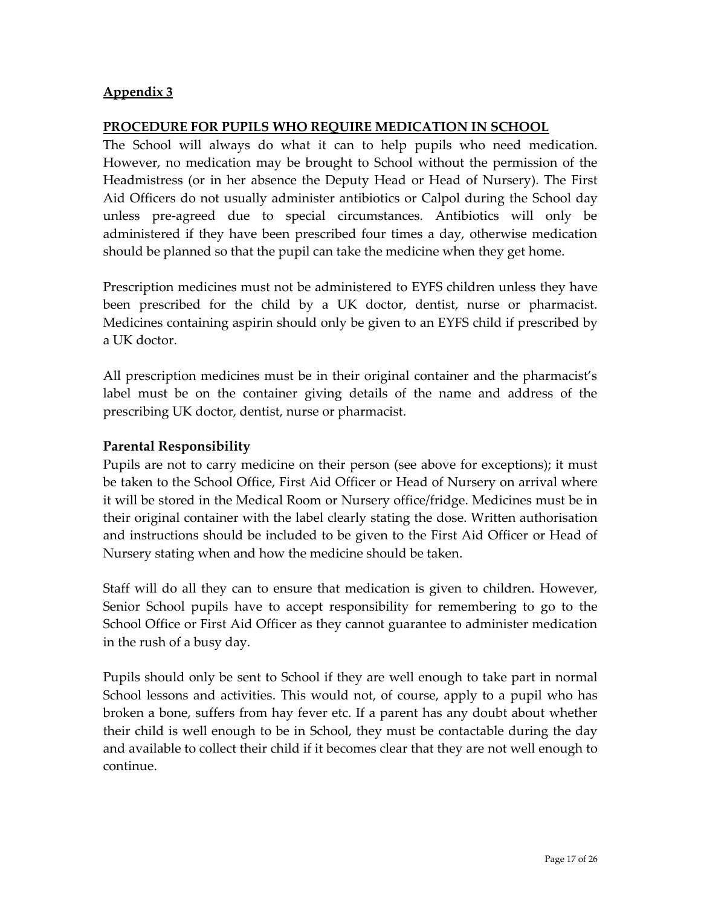#### <span id="page-16-1"></span><span id="page-16-0"></span>**PROCEDURE FOR PUPILS WHO REQUIRE MEDICATION IN SCHOOL**

The School will always do what it can to help pupils who need medication. However, no medication may be brought to School without the permission of the Headmistress (or in her absence the Deputy Head or Head of Nursery). The First Aid Officers do not usually administer antibiotics or Calpol during the School day unless pre-agreed due to special circumstances. Antibiotics will only be administered if they have been prescribed four times a day, otherwise medication should be planned so that the pupil can take the medicine when they get home.

Prescription medicines must not be administered to EYFS children unless they have been prescribed for the child by a UK doctor, dentist, nurse or pharmacist. Medicines containing aspirin should only be given to an EYFS child if prescribed by a UK doctor.

All prescription medicines must be in their original container and the pharmacist's label must be on the container giving details of the name and address of the prescribing UK doctor, dentist, nurse or pharmacist.

### **Parental Responsibility**

Pupils are not to carry medicine on their person (see above for exceptions); it must be taken to the School Office, First Aid Officer or Head of Nursery on arrival where it will be stored in the Medical Room or Nursery office/fridge. Medicines must be in their original container with the label clearly stating the dose. Written authorisation and instructions should be included to be given to the First Aid Officer or Head of Nursery stating when and how the medicine should be taken.

Staff will do all they can to ensure that medication is given to children. However, Senior School pupils have to accept responsibility for remembering to go to the School Office or First Aid Officer as they cannot guarantee to administer medication in the rush of a busy day.

Pupils should only be sent to School if they are well enough to take part in normal School lessons and activities. This would not, of course, apply to a pupil who has broken a bone, suffers from hay fever etc. If a parent has any doubt about whether their child is well enough to be in School, they must be contactable during the day and available to collect their child if it becomes clear that they are not well enough to continue.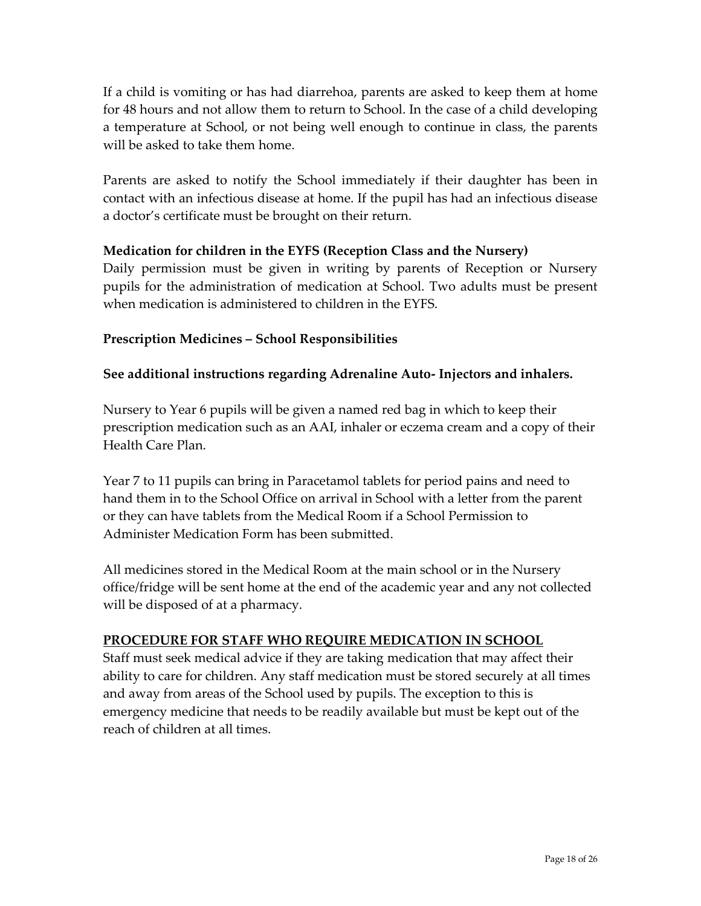If a child is vomiting or has had diarrehoa, parents are asked to keep them at home for 48 hours and not allow them to return to School. In the case of a child developing a temperature at School, or not being well enough to continue in class, the parents will be asked to take them home.

Parents are asked to notify the School immediately if their daughter has been in contact with an infectious disease at home. If the pupil has had an infectious disease a doctor's certificate must be brought on their return.

### **Medication for children in the EYFS (Reception Class and the Nursery)**

Daily permission must be given in writing by parents of Reception or Nursery pupils for the administration of medication at School. Two adults must be present when medication is administered to children in the EYFS.

## **Prescription Medicines – School Responsibilities**

### **See additional instructions regarding Adrenaline Auto- Injectors and inhalers.**

Nursery to Year 6 pupils will be given a named red bag in which to keep their prescription medication such as an AAI, inhaler or eczema cream and a copy of their Health Care Plan.

Year 7 to 11 pupils can bring in Paracetamol tablets for period pains and need to hand them in to the School Office on arrival in School with a letter from the parent or they can have tablets from the Medical Room if a School Permission to Administer Medication Form has been submitted.

All medicines stored in the Medical Room at the main school or in the Nursery office/fridge will be sent home at the end of the academic year and any not collected will be disposed of at a pharmacy.

### <span id="page-17-0"></span>**PROCEDURE FOR STAFF WHO REQUIRE MEDICATION IN SCHOOL**

Staff must seek medical advice if they are taking medication that may affect their ability to care for children. Any staff medication must be stored securely at all times and away from areas of the School used by pupils. The exception to this is emergency medicine that needs to be readily available but must be kept out of the reach of children at all times.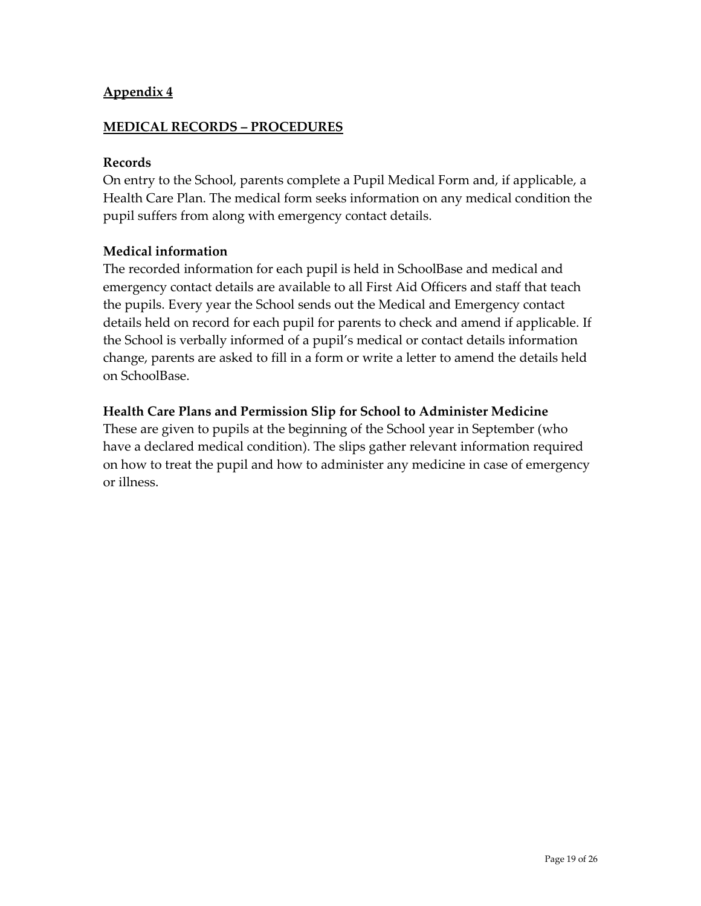### <span id="page-18-1"></span><span id="page-18-0"></span>**MEDICAL RECORDS – PROCEDURES**

#### **Records**

On entry to the School, parents complete a Pupil Medical Form and, if applicable, a Health Care Plan. The medical form seeks information on any medical condition the pupil suffers from along with emergency contact details.

#### **Medical information**

The recorded information for each pupil is held in SchoolBase and medical and emergency contact details are available to all First Aid Officers and staff that teach the pupils. Every year the School sends out the Medical and Emergency contact details held on record for each pupil for parents to check and amend if applicable. If the School is verbally informed of a pupil's medical or contact details information change, parents are asked to fill in a form or write a letter to amend the details held on SchoolBase.

#### **Health Care Plans and Permission Slip for School to Administer Medicine**

These are given to pupils at the beginning of the School year in September (who have a declared medical condition). The slips gather relevant information required on how to treat the pupil and how to administer any medicine in case of emergency or illness.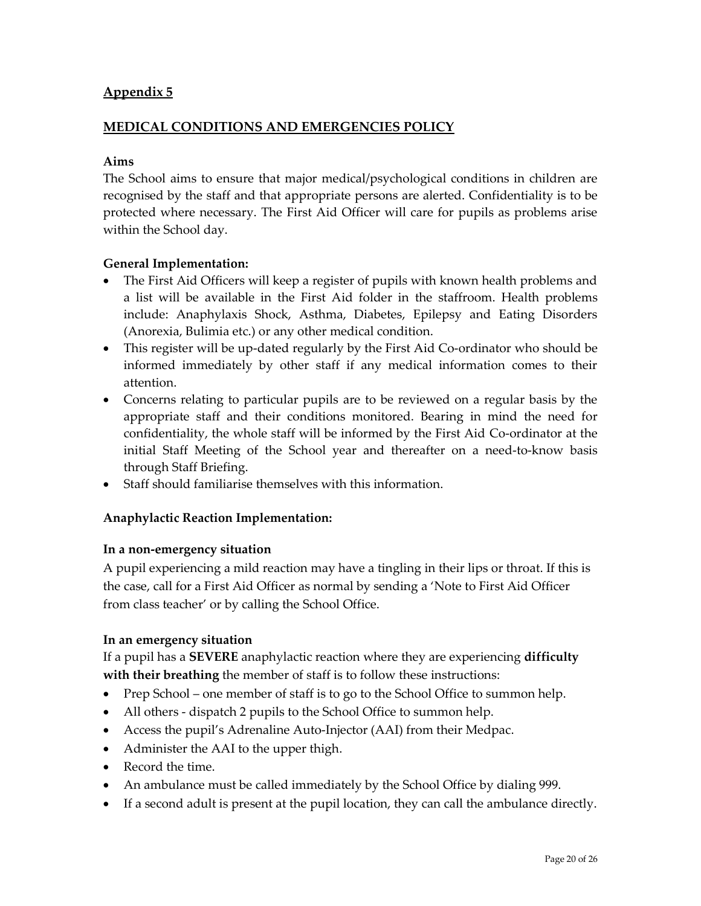#### <span id="page-19-1"></span><span id="page-19-0"></span>**MEDICAL CONDITIONS AND EMERGENCIES POLICY**

#### **Aims**

The School aims to ensure that major medical/psychological conditions in children are recognised by the staff and that appropriate persons are alerted. Confidentiality is to be protected where necessary. The First Aid Officer will care for pupils as problems arise within the School day.

#### **General Implementation:**

- The First Aid Officers will keep a register of pupils with known health problems and a list will be available in the First Aid folder in the staffroom. Health problems include: Anaphylaxis Shock, Asthma, Diabetes, Epilepsy and Eating Disorders (Anorexia, Bulimia etc.) or any other medical condition.
- This register will be up-dated regularly by the First Aid Co-ordinator who should be informed immediately by other staff if any medical information comes to their attention.
- Concerns relating to particular pupils are to be reviewed on a regular basis by the appropriate staff and their conditions monitored. Bearing in mind the need for confidentiality, the whole staff will be informed by the First Aid Co-ordinator at the initial Staff Meeting of the School year and thereafter on a need-to-know basis through Staff Briefing.
- Staff should familiarise themselves with this information.

#### **Anaphylactic Reaction Implementation:**

#### **In a non-emergency situation**

A pupil experiencing a mild reaction may have a tingling in their lips or throat. If this is the case, call for a First Aid Officer as normal by sending a 'Note to First Aid Officer from class teacher' or by calling the School Office.

#### **In an emergency situation**

If a pupil has a **SEVERE** anaphylactic reaction where they are experiencing **difficulty with their breathing** the member of staff is to follow these instructions:

- Prep School one member of staff is to go to the School Office to summon help.
- All others dispatch 2 pupils to the School Office to summon help.
- Access the pupil's Adrenaline Auto-Injector (AAI) from their Medpac.
- Administer the AAI to the upper thigh.
- Record the time.
- An ambulance must be called immediately by the School Office by dialing 999.
- If a second adult is present at the pupil location, they can call the ambulance directly.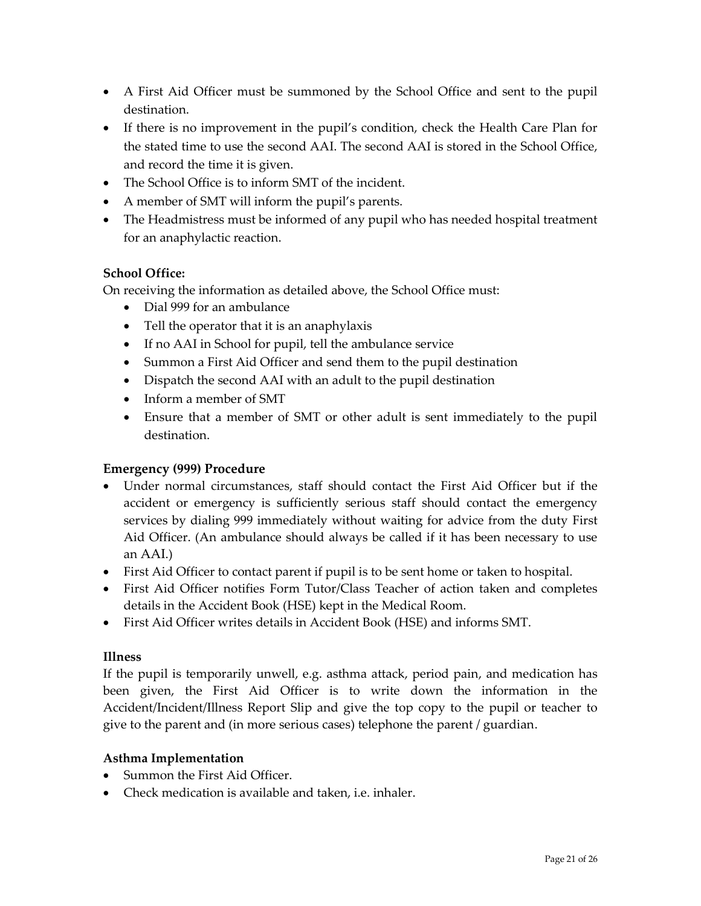- A First Aid Officer must be summoned by the School Office and sent to the pupil destination.
- If there is no improvement in the pupil's condition, check the Health Care Plan for the stated time to use the second AAI. The second AAI is stored in the School Office, and record the time it is given.
- The School Office is to inform SMT of the incident.
- A member of SMT will inform the pupil's parents.
- The Headmistress must be informed of any pupil who has needed hospital treatment for an anaphylactic reaction.

### **School Office:**

On receiving the information as detailed above, the School Office must:

- Dial 999 for an ambulance
- Tell the operator that it is an anaphylaxis
- If no AAI in School for pupil, tell the ambulance service
- Summon a First Aid Officer and send them to the pupil destination
- Dispatch the second AAI with an adult to the pupil destination
- Inform a member of SMT
- Ensure that a member of SMT or other adult is sent immediately to the pupil destination.

### **Emergency (999) Procedure**

- Under normal circumstances, staff should contact the First Aid Officer but if the accident or emergency is sufficiently serious staff should contact the emergency services by dialing 999 immediately without waiting for advice from the duty First Aid Officer. (An ambulance should always be called if it has been necessary to use an AAI.)
- First Aid Officer to contact parent if pupil is to be sent home or taken to hospital.
- First Aid Officer notifies Form Tutor/Class Teacher of action taken and completes details in the Accident Book (HSE) kept in the Medical Room.
- First Aid Officer writes details in Accident Book (HSE) and informs SMT.

#### **Illness**

If the pupil is temporarily unwell, e.g. asthma attack, period pain, and medication has been given, the First Aid Officer is to write down the information in the Accident/Incident/Illness Report Slip and give the top copy to the pupil or teacher to give to the parent and (in more serious cases) telephone the parent / guardian.

#### **Asthma Implementation**

- Summon the First Aid Officer.
- Check medication is available and taken, i.e. inhaler.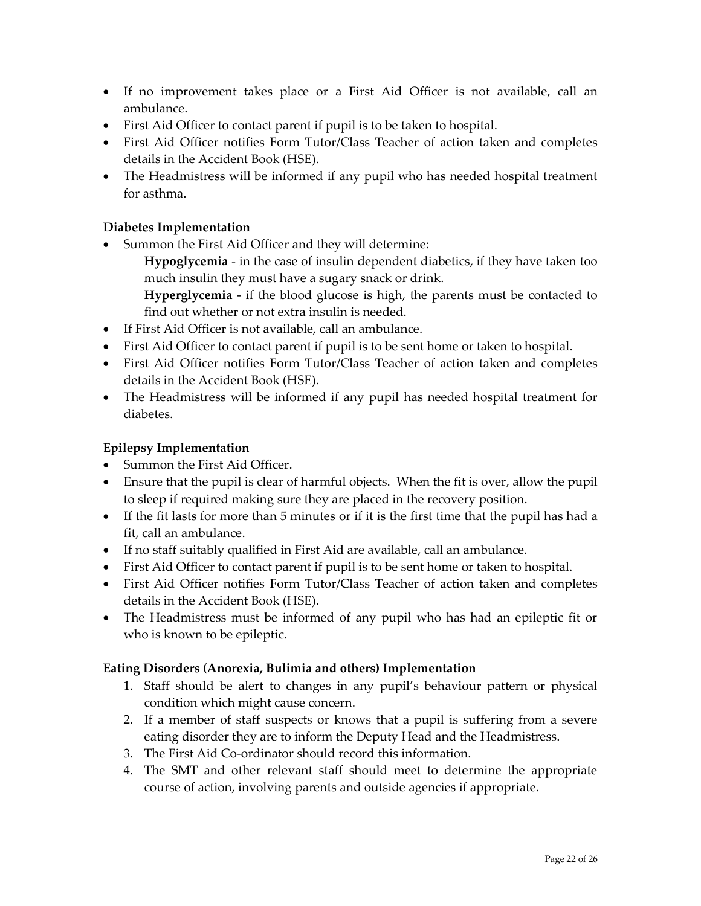- If no improvement takes place or a First Aid Officer is not available, call an ambulance.
- First Aid Officer to contact parent if pupil is to be taken to hospital.
- First Aid Officer notifies Form Tutor/Class Teacher of action taken and completes details in the Accident Book (HSE).
- The Headmistress will be informed if any pupil who has needed hospital treatment for asthma.

#### **Diabetes Implementation**

• Summon the First Aid Officer and they will determine:

**Hypoglycemia** - in the case of insulin dependent diabetics, if they have taken too much insulin they must have a sugary snack or drink.

**Hyperglycemia** - if the blood glucose is high, the parents must be contacted to find out whether or not extra insulin is needed.

- If First Aid Officer is not available, call an ambulance.
- First Aid Officer to contact parent if pupil is to be sent home or taken to hospital.
- First Aid Officer notifies Form Tutor/Class Teacher of action taken and completes details in the Accident Book (HSE).
- The Headmistress will be informed if any pupil has needed hospital treatment for diabetes.

#### **Epilepsy Implementation**

- Summon the First Aid Officer.
- Ensure that the pupil is clear of harmful objects. When the fit is over, allow the pupil to sleep if required making sure they are placed in the recovery position.
- If the fit lasts for more than 5 minutes or if it is the first time that the pupil has had a fit, call an ambulance.
- If no staff suitably qualified in First Aid are available, call an ambulance.
- First Aid Officer to contact parent if pupil is to be sent home or taken to hospital.
- First Aid Officer notifies Form Tutor/Class Teacher of action taken and completes details in the Accident Book (HSE).
- The Headmistress must be informed of any pupil who has had an epileptic fit or who is known to be epileptic.

#### **Eating Disorders (Anorexia, Bulimia and others) Implementation**

- 1. Staff should be alert to changes in any pupil's behaviour pattern or physical condition which might cause concern.
- 2. If a member of staff suspects or knows that a pupil is suffering from a severe eating disorder they are to inform the Deputy Head and the Headmistress.
- 3. The First Aid Co-ordinator should record this information.
- 4. The SMT and other relevant staff should meet to determine the appropriate course of action, involving parents and outside agencies if appropriate.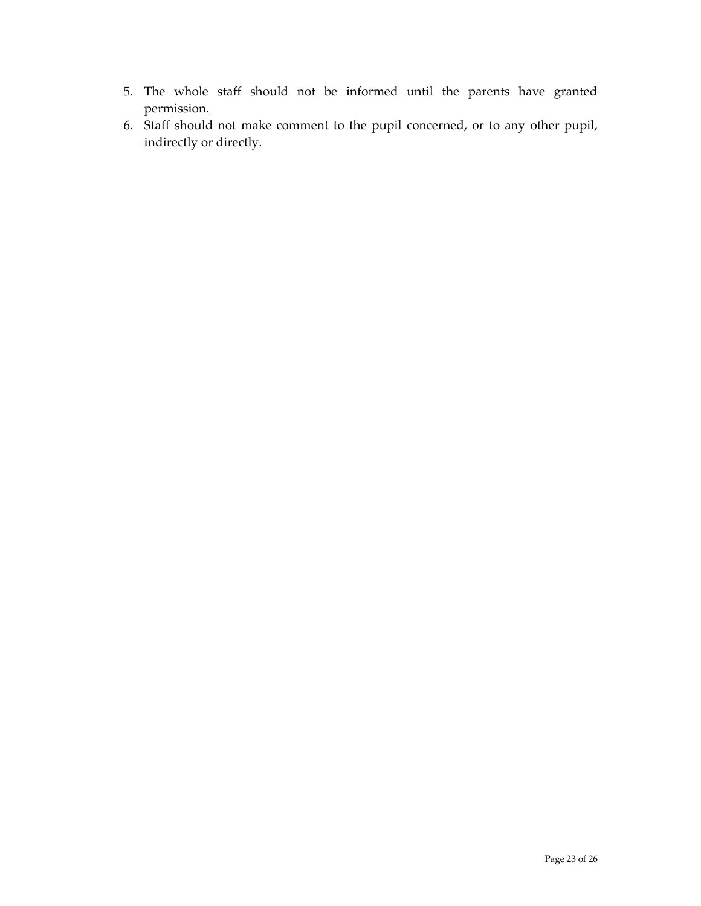- 5. The whole staff should not be informed until the parents have granted permission.
- 6. Staff should not make comment to the pupil concerned, or to any other pupil, indirectly or directly.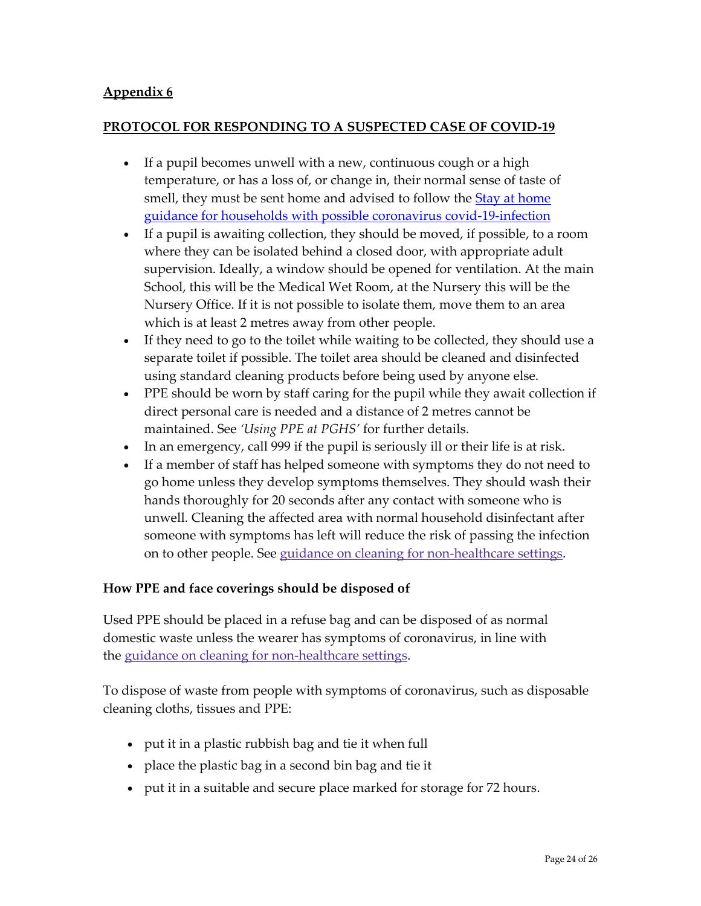### <span id="page-23-1"></span><span id="page-23-0"></span>**PROTOCOL FOR RESPONDING TO A SUSPECTED CASE OF COVID-19**

- If a pupil becomes unwell with a new, continuous cough or a high temperature, or has a loss of, or change in, their normal sense of taste of smell, they must be sent home and advised to follow the Stay at home [guidance for households with possible coronavirus covid-19-infection](https://www.gov.uk/government/publications/covid-19-stay-at-home-guidance/stay-at-home-guidance-for-households-with-possible-coronavirus-covid-19-infection)
- If a pupil is awaiting collection, they should be moved, if possible, to a room where they can be isolated behind a closed door, with appropriate adult supervision. Ideally, a window should be opened for ventilation. At the main School, this will be the Medical Wet Room, at the Nursery this will be the Nursery Office. If it is not possible to isolate them, move them to an area which is at least 2 metres away from other people.
- If they need to go to the toilet while waiting to be collected, they should use a separate toilet if possible. The toilet area should be cleaned and disinfected using standard cleaning products before being used by anyone else.
- PPE should be worn by staff caring for the pupil while they await collection if direct personal care is needed and a distance of 2 metres cannot be maintained. See *'Using PPE at PGHS'* for further details.
- In an emergency, call 999 if the pupil is seriously ill or their life is at risk.
- If a member of staff has helped someone with symptoms they do not need to go home unless they develop symptoms themselves. They should wash their hands thoroughly for 20 seconds after any contact with someone who is unwell. Cleaning the affected area with normal household disinfectant after someone with symptoms has left will reduce the risk of passing the infection on to other people. See guidance on cleaning for [non-healthcare](https://www.gov.uk/government/publications/covid-19-decontamination-in-non-healthcare-settings) settings.

### **How PPE and face coverings should be disposed of**

Used PPE should be placed in a refuse bag and can be disposed of as normal domestic waste unless the wearer has symptoms of coronavirus, in line with the guidance on cleaning for [non-healthcare](https://www.gov.uk/government/publications/covid-19-decontamination-in-non-healthcare-settings) settings.

To dispose of waste from people with symptoms of coronavirus, such as disposable cleaning cloths, tissues and PPE:

- put it in a plastic rubbish bag and tie it when full
- place the plastic bag in a second bin bag and tie it
- put it in a suitable and secure place marked for storage for 72 hours.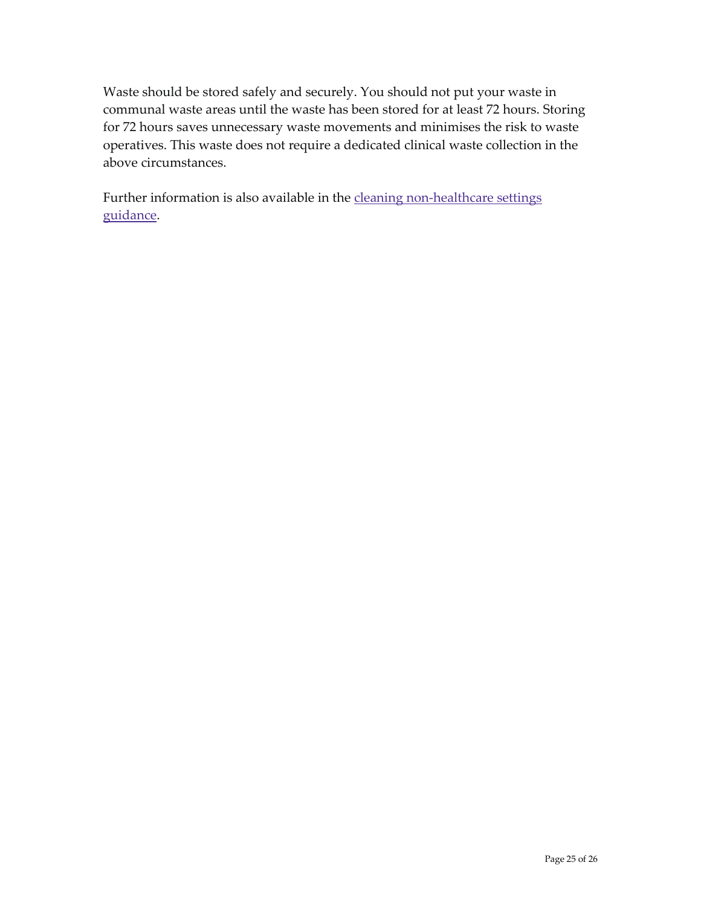Waste should be stored safely and securely. You should not put your waste in communal waste areas until the waste has been stored for at least 72 hours. Storing for 72 hours saves unnecessary waste movements and minimises the risk to waste operatives. This waste does not require a dedicated clinical waste collection in the above circumstances.

Further information is also available in the cleaning [non-healthcare](https://www.gov.uk/government/publications/covid-19-decontamination-in-non-healthcare-settings) settings [guidance.](https://www.gov.uk/government/publications/covid-19-decontamination-in-non-healthcare-settings)